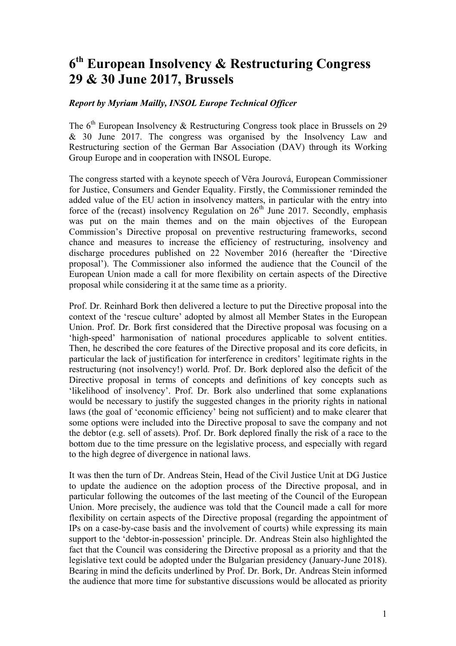## **6th European Insolvency & Restructuring Congress 29 & 30 June 2017, Brussels**

## *Report by Myriam Mailly, INSOL Europe Technical Officer*

The  $6<sup>th</sup>$  European Insolvency & Restructuring Congress took place in Brussels on 29 & 30 June 2017. The congress was organised by the Insolvency Law and Restructuring section of the German Bar Association (DAV) through its Working Group Europe and in cooperation with INSOL Europe.

The congress started with a keynote speech of Věra Jourová, European Commissioner for Justice, Consumers and Gender Equality. Firstly, the Commissioner reminded the added value of the EU action in insolvency matters, in particular with the entry into force of the (recast) insolvency Regulation on  $26<sup>th</sup>$  June 2017. Secondly, emphasis was put on the main themes and on the main objectives of the European Commission's Directive proposal on preventive restructuring frameworks, second chance and measures to increase the efficiency of restructuring, insolvency and discharge procedures published on 22 November 2016 (hereafter the 'Directive proposal'). The Commissioner also informed the audience that the Council of the European Union made a call for more flexibility on certain aspects of the Directive proposal while considering it at the same time as a priority.

Prof. Dr. Reinhard Bork then delivered a lecture to put the Directive proposal into the context of the 'rescue culture' adopted by almost all Member States in the European Union. Prof. Dr. Bork first considered that the Directive proposal was focusing on a 'high-speed' harmonisation of national procedures applicable to solvent entities. Then, he described the core features of the Directive proposal and its core deficits, in particular the lack of justification for interference in creditors' legitimate rights in the restructuring (not insolvency!) world. Prof. Dr. Bork deplored also the deficit of the Directive proposal in terms of concepts and definitions of key concepts such as 'likelihood of insolvency'. Prof. Dr. Bork also underlined that some explanations would be necessary to justify the suggested changes in the priority rights in national laws (the goal of 'economic efficiency' being not sufficient) and to make clearer that some options were included into the Directive proposal to save the company and not the debtor (e.g. sell of assets). Prof. Dr. Bork deplored finally the risk of a race to the bottom due to the time pressure on the legislative process, and especially with regard to the high degree of divergence in national laws.

It was then the turn of Dr. Andreas Stein, Head of the Civil Justice Unit at DG Justice to update the audience on the adoption process of the Directive proposal, and in particular following the outcomes of the last meeting of the Council of the European Union. More precisely, the audience was told that the Council made a call for more flexibility on certain aspects of the Directive proposal (regarding the appointment of IPs on a case-by-case basis and the involvement of courts) while expressing its main support to the 'debtor-in-possession' principle. Dr. Andreas Stein also highlighted the fact that the Council was considering the Directive proposal as a priority and that the legislative text could be adopted under the Bulgarian presidency (January-June 2018). Bearing in mind the deficits underlined by Prof. Dr. Bork, Dr. Andreas Stein informed the audience that more time for substantive discussions would be allocated as priority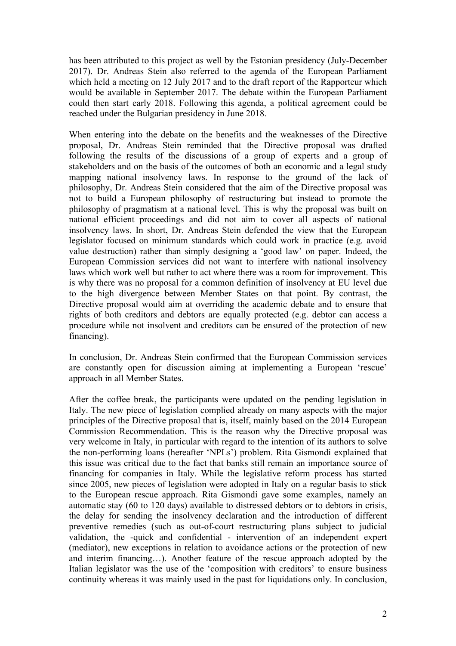has been attributed to this project as well by the Estonian presidency (July-December 2017). Dr. Andreas Stein also referred to the agenda of the European Parliament which held a meeting on 12 July 2017 and to the draft report of the Rapporteur which would be available in September 2017. The debate within the European Parliament could then start early 2018. Following this agenda, a political agreement could be reached under the Bulgarian presidency in June 2018.

When entering into the debate on the benefits and the weaknesses of the Directive proposal, Dr. Andreas Stein reminded that the Directive proposal was drafted following the results of the discussions of a group of experts and a group of stakeholders and on the basis of the outcomes of both an economic and a legal study mapping national insolvency laws. In response to the ground of the lack of philosophy, Dr. Andreas Stein considered that the aim of the Directive proposal was not to build a European philosophy of restructuring but instead to promote the philosophy of pragmatism at a national level. This is why the proposal was built on national efficient proceedings and did not aim to cover all aspects of national insolvency laws. In short, Dr. Andreas Stein defended the view that the European legislator focused on minimum standards which could work in practice (e.g. avoid value destruction) rather than simply designing a 'good law' on paper. Indeed, the European Commission services did not want to interfere with national insolvency laws which work well but rather to act where there was a room for improvement. This is why there was no proposal for a common definition of insolvency at EU level due to the high divergence between Member States on that point. By contrast, the Directive proposal would aim at overriding the academic debate and to ensure that rights of both creditors and debtors are equally protected (e.g. debtor can access a procedure while not insolvent and creditors can be ensured of the protection of new financing).

In conclusion, Dr. Andreas Stein confirmed that the European Commission services are constantly open for discussion aiming at implementing a European 'rescue' approach in all Member States.

After the coffee break, the participants were updated on the pending legislation in Italy. The new piece of legislation complied already on many aspects with the major principles of the Directive proposal that is, itself, mainly based on the 2014 European Commission Recommendation. This is the reason why the Directive proposal was very welcome in Italy, in particular with regard to the intention of its authors to solve the non-performing loans (hereafter 'NPLs') problem. Rita Gismondi explained that this issue was critical due to the fact that banks still remain an importance source of financing for companies in Italy. While the legislative reform process has started since 2005, new pieces of legislation were adopted in Italy on a regular basis to stick to the European rescue approach. Rita Gismondi gave some examples, namely an automatic stay (60 to 120 days) available to distressed debtors or to debtors in crisis, the delay for sending the insolvency declaration and the introduction of different preventive remedies (such as out-of-court restructuring plans subject to judicial validation, the -quick and confidential - intervention of an independent expert (mediator), new exceptions in relation to avoidance actions or the protection of new and interim financing…). Another feature of the rescue approach adopted by the Italian legislator was the use of the 'composition with creditors' to ensure business continuity whereas it was mainly used in the past for liquidations only. In conclusion,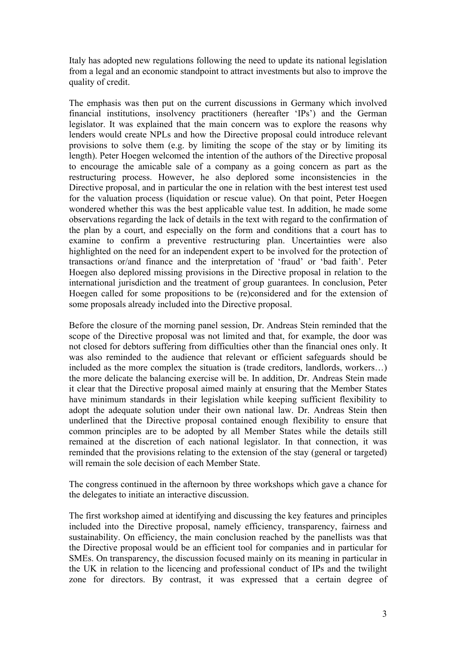Italy has adopted new regulations following the need to update its national legislation from a legal and an economic standpoint to attract investments but also to improve the quality of credit.

The emphasis was then put on the current discussions in Germany which involved financial institutions, insolvency practitioners (hereafter 'IPs') and the German legislator. It was explained that the main concern was to explore the reasons why lenders would create NPLs and how the Directive proposal could introduce relevant provisions to solve them (e.g. by limiting the scope of the stay or by limiting its length). Peter Hoegen welcomed the intention of the authors of the Directive proposal to encourage the amicable sale of a company as a going concern as part as the restructuring process. However, he also deplored some inconsistencies in the Directive proposal, and in particular the one in relation with the best interest test used for the valuation process (liquidation or rescue value). On that point, Peter Hoegen wondered whether this was the best applicable value test. In addition, he made some observations regarding the lack of details in the text with regard to the confirmation of the plan by a court, and especially on the form and conditions that a court has to examine to confirm a preventive restructuring plan. Uncertainties were also highlighted on the need for an independent expert to be involved for the protection of transactions or/and finance and the interpretation of 'fraud' or 'bad faith'. Peter Hoegen also deplored missing provisions in the Directive proposal in relation to the international jurisdiction and the treatment of group guarantees. In conclusion, Peter Hoegen called for some propositions to be (re)considered and for the extension of some proposals already included into the Directive proposal.

Before the closure of the morning panel session, Dr. Andreas Stein reminded that the scope of the Directive proposal was not limited and that, for example, the door was not closed for debtors suffering from difficulties other than the financial ones only. It was also reminded to the audience that relevant or efficient safeguards should be included as the more complex the situation is (trade creditors, landlords, workers…) the more delicate the balancing exercise will be. In addition, Dr. Andreas Stein made it clear that the Directive proposal aimed mainly at ensuring that the Member States have minimum standards in their legislation while keeping sufficient flexibility to adopt the adequate solution under their own national law. Dr. Andreas Stein then underlined that the Directive proposal contained enough flexibility to ensure that common principles are to be adopted by all Member States while the details still remained at the discretion of each national legislator. In that connection, it was reminded that the provisions relating to the extension of the stay (general or targeted) will remain the sole decision of each Member State.

The congress continued in the afternoon by three workshops which gave a chance for the delegates to initiate an interactive discussion.

The first workshop aimed at identifying and discussing the key features and principles included into the Directive proposal, namely efficiency, transparency, fairness and sustainability. On efficiency, the main conclusion reached by the panellists was that the Directive proposal would be an efficient tool for companies and in particular for SMEs. On transparency, the discussion focused mainly on its meaning in particular in the UK in relation to the licencing and professional conduct of IPs and the twilight zone for directors. By contrast, it was expressed that a certain degree of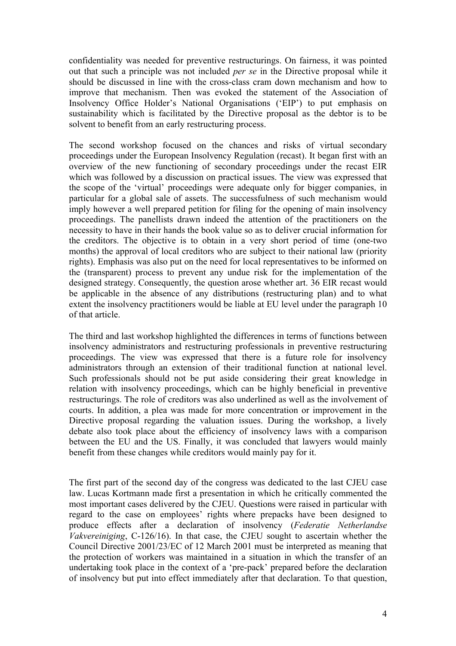confidentiality was needed for preventive restructurings. On fairness, it was pointed out that such a principle was not included *per se* in the Directive proposal while it should be discussed in line with the cross-class cram down mechanism and how to improve that mechanism. Then was evoked the statement of the Association of Insolvency Office Holder's National Organisations ('EIP') to put emphasis on sustainability which is facilitated by the Directive proposal as the debtor is to be solvent to benefit from an early restructuring process.

The second workshop focused on the chances and risks of virtual secondary proceedings under the European Insolvency Regulation (recast). It began first with an overview of the new functioning of secondary proceedings under the recast EIR which was followed by a discussion on practical issues. The view was expressed that the scope of the 'virtual' proceedings were adequate only for bigger companies, in particular for a global sale of assets. The successfulness of such mechanism would imply however a well prepared petition for filing for the opening of main insolvency proceedings. The panellists drawn indeed the attention of the practitioners on the necessity to have in their hands the book value so as to deliver crucial information for the creditors. The objective is to obtain in a very short period of time (one-two months) the approval of local creditors who are subject to their national law (priority rights). Emphasis was also put on the need for local representatives to be informed on the (transparent) process to prevent any undue risk for the implementation of the designed strategy. Consequently, the question arose whether art. 36 EIR recast would be applicable in the absence of any distributions (restructuring plan) and to what extent the insolvency practitioners would be liable at EU level under the paragraph 10 of that article.

The third and last workshop highlighted the differences in terms of functions between insolvency administrators and restructuring professionals in preventive restructuring proceedings. The view was expressed that there is a future role for insolvency administrators through an extension of their traditional function at national level. Such professionals should not be put aside considering their great knowledge in relation with insolvency proceedings, which can be highly beneficial in preventive restructurings. The role of creditors was also underlined as well as the involvement of courts. In addition, a plea was made for more concentration or improvement in the Directive proposal regarding the valuation issues. During the workshop, a lively debate also took place about the efficiency of insolvency laws with a comparison between the EU and the US. Finally, it was concluded that lawyers would mainly benefit from these changes while creditors would mainly pay for it.

The first part of the second day of the congress was dedicated to the last CJEU case law. Lucas Kortmann made first a presentation in which he critically commented the most important cases delivered by the CJEU. Questions were raised in particular with regard to the case on employees' rights where prepacks have been designed to produce effects after a declaration of insolvency (*Federatie Netherlandse Vakvereiniging*, C-126/16). In that case, the CJEU sought to ascertain whether the Council Directive 2001/23/EC of 12 March 2001 must be interpreted as meaning that the protection of workers was maintained in a situation in which the transfer of an undertaking took place in the context of a 'pre-pack' prepared before the declaration of insolvency but put into effect immediately after that declaration. To that question,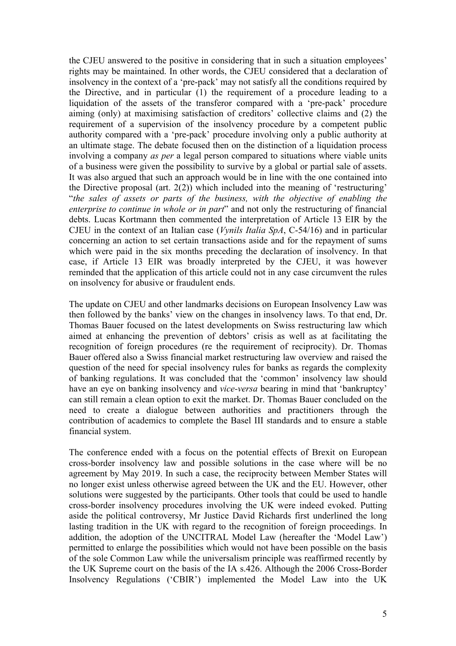the CJEU answered to the positive in considering that in such a situation employees' rights may be maintained. In other words, the CJEU considered that a declaration of insolvency in the context of a 'pre-pack' may not satisfy all the conditions required by the Directive, and in particular (1) the requirement of a procedure leading to a liquidation of the assets of the transferor compared with a 'pre-pack' procedure aiming (only) at maximising satisfaction of creditors' collective claims and (2) the requirement of a supervision of the insolvency procedure by a competent public authority compared with a 'pre-pack' procedure involving only a public authority at an ultimate stage. The debate focused then on the distinction of a liquidation process involving a company *as per* a legal person compared to situations where viable units of a business were given the possibility to survive by a global or partial sale of assets. It was also argued that such an approach would be in line with the one contained into the Directive proposal (art. 2(2)) which included into the meaning of 'restructuring' "*the sales of assets or parts of the business, with the objective of enabling the enterprise to continue in whole or in part*" and not only the restructuring of financial debts. Lucas Kortmann then commented the interpretation of Article 13 EIR by the CJEU in the context of an Italian case (*Vynils Italia SpA*, C-54/16) and in particular concerning an action to set certain transactions aside and for the repayment of sums which were paid in the six months preceding the declaration of insolvency. In that case, if Article 13 EIR was broadly interpreted by the CJEU, it was however reminded that the application of this article could not in any case circumvent the rules on insolvency for abusive or fraudulent ends.

The update on CJEU and other landmarks decisions on European Insolvency Law was then followed by the banks' view on the changes in insolvency laws. To that end, Dr. Thomas Bauer focused on the latest developments on Swiss restructuring law which aimed at enhancing the prevention of debtors' crisis as well as at facilitating the recognition of foreign procedures (re the requirement of reciprocity). Dr. Thomas Bauer offered also a Swiss financial market restructuring law overview and raised the question of the need for special insolvency rules for banks as regards the complexity of banking regulations. It was concluded that the 'common' insolvency law should have an eye on banking insolvency and *vice-versa* bearing in mind that 'bankruptcy' can still remain a clean option to exit the market. Dr. Thomas Bauer concluded on the need to create a dialogue between authorities and practitioners through the contribution of academics to complete the Basel III standards and to ensure a stable financial system.

The conference ended with a focus on the potential effects of Brexit on European cross-border insolvency law and possible solutions in the case where will be no agreement by May 2019. In such a case, the reciprocity between Member States will no longer exist unless otherwise agreed between the UK and the EU. However, other solutions were suggested by the participants. Other tools that could be used to handle cross-border insolvency procedures involving the UK were indeed evoked. Putting aside the political controversy, Mr Justice David Richards first underlined the long lasting tradition in the UK with regard to the recognition of foreign proceedings. In addition, the adoption of the UNCITRAL Model Law (hereafter the 'Model Law') permitted to enlarge the possibilities which would not have been possible on the basis of the sole Common Law while the universalism principle was reaffirmed recently by the UK Supreme court on the basis of the IA s.426. Although the 2006 Cross-Border Insolvency Regulations ('CBIR') implemented the Model Law into the UK